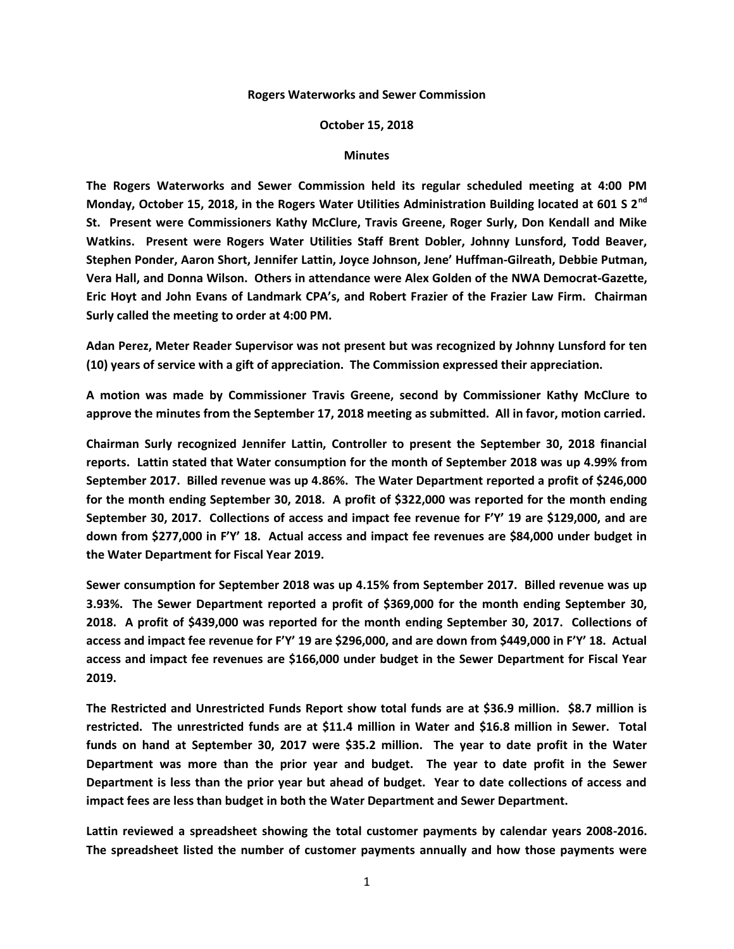## **Rogers Waterworks and Sewer Commission**

## **October 15, 2018**

## **Minutes**

**The Rogers Waterworks and Sewer Commission held its regular scheduled meeting at 4:00 PM Monday, October 15, 2018, in the Rogers Water Utilities Administration Building located at 601 S 2nd St. Present were Commissioners Kathy McClure, Travis Greene, Roger Surly, Don Kendall and Mike Watkins. Present were Rogers Water Utilities Staff Brent Dobler, Johnny Lunsford, Todd Beaver, Stephen Ponder, Aaron Short, Jennifer Lattin, Joyce Johnson, Jene' Huffman-Gilreath, Debbie Putman, Vera Hall, and Donna Wilson. Others in attendance were Alex Golden of the NWA Democrat-Gazette, Eric Hoyt and John Evans of Landmark CPA's, and Robert Frazier of the Frazier Law Firm. Chairman Surly called the meeting to order at 4:00 PM.**

**Adan Perez, Meter Reader Supervisor was not present but was recognized by Johnny Lunsford for ten (10) years of service with a gift of appreciation. The Commission expressed their appreciation.**

**A motion was made by Commissioner Travis Greene, second by Commissioner Kathy McClure to approve the minutes from the September 17, 2018 meeting as submitted. All in favor, motion carried.**

**Chairman Surly recognized Jennifer Lattin, Controller to present the September 30, 2018 financial reports. Lattin stated that Water consumption for the month of September 2018 was up 4.99% from September 2017. Billed revenue was up 4.86%. The Water Department reported a profit of \$246,000 for the month ending September 30, 2018. A profit of \$322,000 was reported for the month ending September 30, 2017. Collections of access and impact fee revenue for F'Y' 19 are \$129,000, and are down from \$277,000 in F'Y' 18. Actual access and impact fee revenues are \$84,000 under budget in the Water Department for Fiscal Year 2019.**

**Sewer consumption for September 2018 was up 4.15% from September 2017. Billed revenue was up 3.93%. The Sewer Department reported a profit of \$369,000 for the month ending September 30, 2018. A profit of \$439,000 was reported for the month ending September 30, 2017. Collections of access and impact fee revenue for F'Y' 19 are \$296,000, and are down from \$449,000 in F'Y' 18. Actual access and impact fee revenues are \$166,000 under budget in the Sewer Department for Fiscal Year 2019.**

**The Restricted and Unrestricted Funds Report show total funds are at \$36.9 million. \$8.7 million is restricted. The unrestricted funds are at \$11.4 million in Water and \$16.8 million in Sewer. Total funds on hand at September 30, 2017 were \$35.2 million. The year to date profit in the Water Department was more than the prior year and budget. The year to date profit in the Sewer Department is less than the prior year but ahead of budget. Year to date collections of access and impact fees are less than budget in both the Water Department and Sewer Department.**

**Lattin reviewed a spreadsheet showing the total customer payments by calendar years 2008-2016. The spreadsheet listed the number of customer payments annually and how those payments were**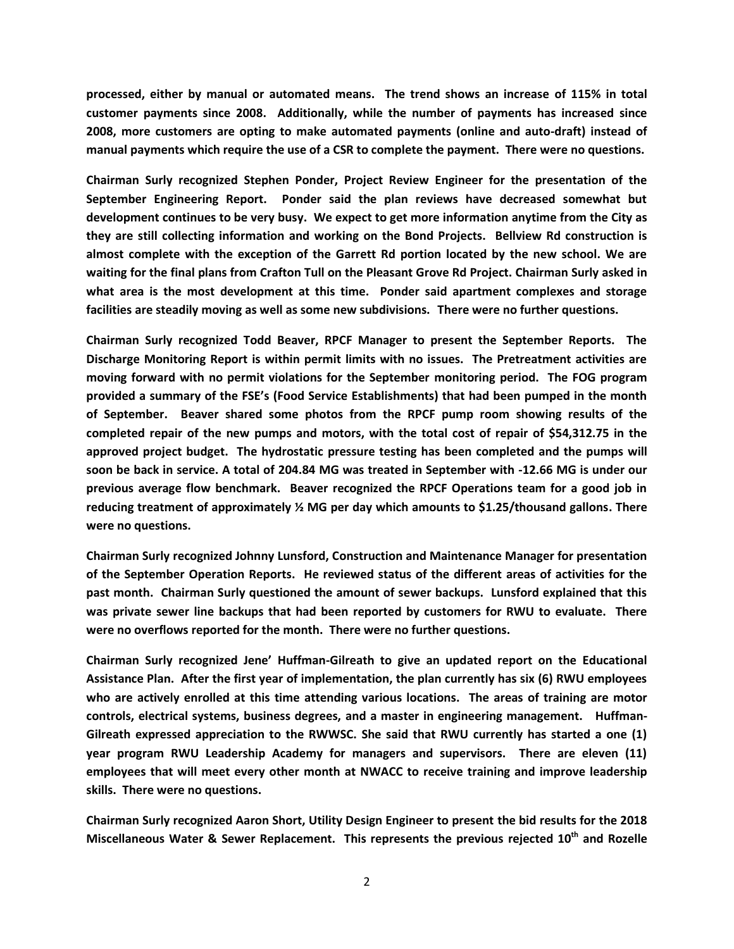**processed, either by manual or automated means. The trend shows an increase of 115% in total customer payments since 2008. Additionally, while the number of payments has increased since 2008, more customers are opting to make automated payments (online and auto-draft) instead of manual payments which require the use of a CSR to complete the payment. There were no questions.**

**Chairman Surly recognized Stephen Ponder, Project Review Engineer for the presentation of the September Engineering Report. Ponder said the plan reviews have decreased somewhat but development continues to be very busy. We expect to get more information anytime from the City as they are still collecting information and working on the Bond Projects. Bellview Rd construction is almost complete with the exception of the Garrett Rd portion located by the new school. We are waiting for the final plans from Crafton Tull on the Pleasant Grove Rd Project. Chairman Surly asked in what area is the most development at this time. Ponder said apartment complexes and storage facilities are steadily moving as well as some new subdivisions. There were no further questions.**

**Chairman Surly recognized Todd Beaver, RPCF Manager to present the September Reports. The Discharge Monitoring Report is within permit limits with no issues. The Pretreatment activities are moving forward with no permit violations for the September monitoring period. The FOG program provided a summary of the FSE's (Food Service Establishments) that had been pumped in the month of September. Beaver shared some photos from the RPCF pump room showing results of the completed repair of the new pumps and motors, with the total cost of repair of \$54,312.75 in the approved project budget. The hydrostatic pressure testing has been completed and the pumps will soon be back in service. A total of 204.84 MG was treated in September with -12.66 MG is under our previous average flow benchmark. Beaver recognized the RPCF Operations team for a good job in reducing treatment of approximately ½ MG per day which amounts to \$1.25/thousand gallons. There were no questions.**

**Chairman Surly recognized Johnny Lunsford, Construction and Maintenance Manager for presentation of the September Operation Reports. He reviewed status of the different areas of activities for the past month. Chairman Surly questioned the amount of sewer backups. Lunsford explained that this was private sewer line backups that had been reported by customers for RWU to evaluate. There were no overflows reported for the month. There were no further questions.**

**Chairman Surly recognized Jene' Huffman-Gilreath to give an updated report on the Educational Assistance Plan. After the first year of implementation, the plan currently has six (6) RWU employees who are actively enrolled at this time attending various locations. The areas of training are motor controls, electrical systems, business degrees, and a master in engineering management. Huffman-Gilreath expressed appreciation to the RWWSC. She said that RWU currently has started a one (1) year program RWU Leadership Academy for managers and supervisors. There are eleven (11) employees that will meet every other month at NWACC to receive training and improve leadership skills. There were no questions.**

**Chairman Surly recognized Aaron Short, Utility Design Engineer to present the bid results for the 2018 Miscellaneous Water & Sewer Replacement. This represents the previous rejected 10th and Rozelle**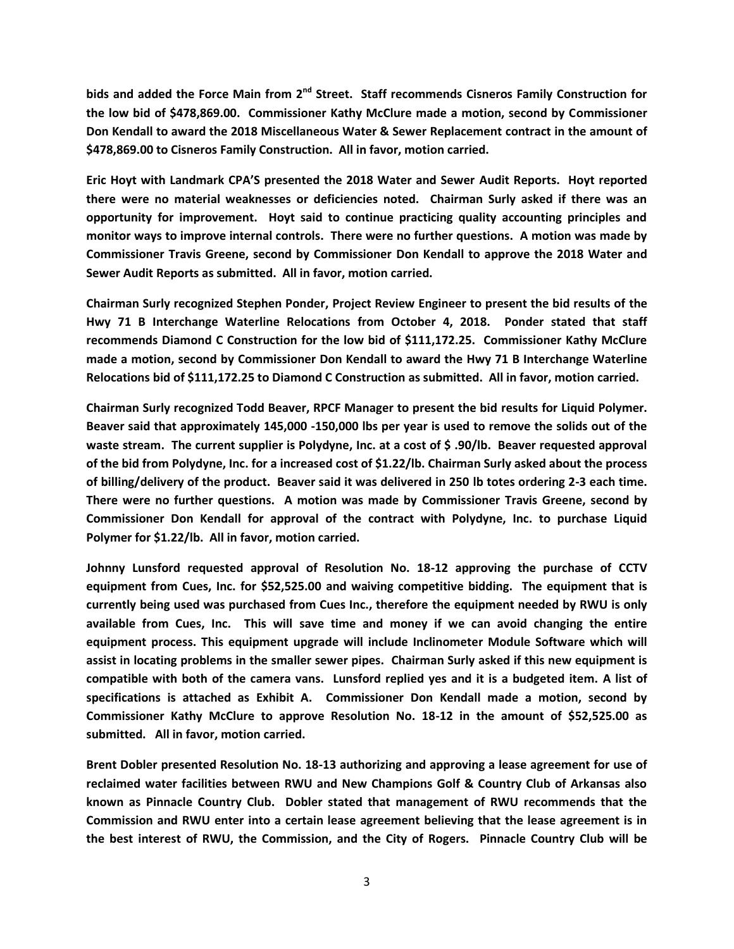**bids and added the Force Main from 2nd Street. Staff recommends Cisneros Family Construction for the low bid of \$478,869.00. Commissioner Kathy McClure made a motion, second by Commissioner Don Kendall to award the 2018 Miscellaneous Water & Sewer Replacement contract in the amount of \$478,869.00 to Cisneros Family Construction. All in favor, motion carried.**

**Eric Hoyt with Landmark CPA'S presented the 2018 Water and Sewer Audit Reports. Hoyt reported there were no material weaknesses or deficiencies noted. Chairman Surly asked if there was an opportunity for improvement. Hoyt said to continue practicing quality accounting principles and monitor ways to improve internal controls. There were no further questions. A motion was made by Commissioner Travis Greene, second by Commissioner Don Kendall to approve the 2018 Water and Sewer Audit Reports as submitted. All in favor, motion carried.**

**Chairman Surly recognized Stephen Ponder, Project Review Engineer to present the bid results of the Hwy 71 B Interchange Waterline Relocations from October 4, 2018. Ponder stated that staff recommends Diamond C Construction for the low bid of \$111,172.25. Commissioner Kathy McClure made a motion, second by Commissioner Don Kendall to award the Hwy 71 B Interchange Waterline Relocations bid of \$111,172.25 to Diamond C Construction as submitted. All in favor, motion carried.**

**Chairman Surly recognized Todd Beaver, RPCF Manager to present the bid results for Liquid Polymer. Beaver said that approximately 145,000 -150,000 lbs per year is used to remove the solids out of the waste stream. The current supplier is Polydyne, Inc. at a cost of \$ .90/lb. Beaver requested approval of the bid from Polydyne, Inc. for a increased cost of \$1.22/lb. Chairman Surly asked about the process of billing/delivery of the product. Beaver said it was delivered in 250 lb totes ordering 2-3 each time. There were no further questions. A motion was made by Commissioner Travis Greene, second by Commissioner Don Kendall for approval of the contract with Polydyne, Inc. to purchase Liquid Polymer for \$1.22/lb. All in favor, motion carried.**

**Johnny Lunsford requested approval of Resolution No. 18-12 approving the purchase of CCTV equipment from Cues, Inc. for \$52,525.00 and waiving competitive bidding. The equipment that is currently being used was purchased from Cues Inc., therefore the equipment needed by RWU is only available from Cues, Inc. This will save time and money if we can avoid changing the entire equipment process. This equipment upgrade will include Inclinometer Module Software which will assist in locating problems in the smaller sewer pipes. Chairman Surly asked if this new equipment is compatible with both of the camera vans. Lunsford replied yes and it is a budgeted item. A list of specifications is attached as Exhibit A. Commissioner Don Kendall made a motion, second by Commissioner Kathy McClure to approve Resolution No. 18-12 in the amount of \$52,525.00 as submitted. All in favor, motion carried.**

**Brent Dobler presented Resolution No. 18-13 authorizing and approving a lease agreement for use of reclaimed water facilities between RWU and New Champions Golf & Country Club of Arkansas also known as Pinnacle Country Club. Dobler stated that management of RWU recommends that the Commission and RWU enter into a certain lease agreement believing that the lease agreement is in the best interest of RWU, the Commission, and the City of Rogers. Pinnacle Country Club will be**